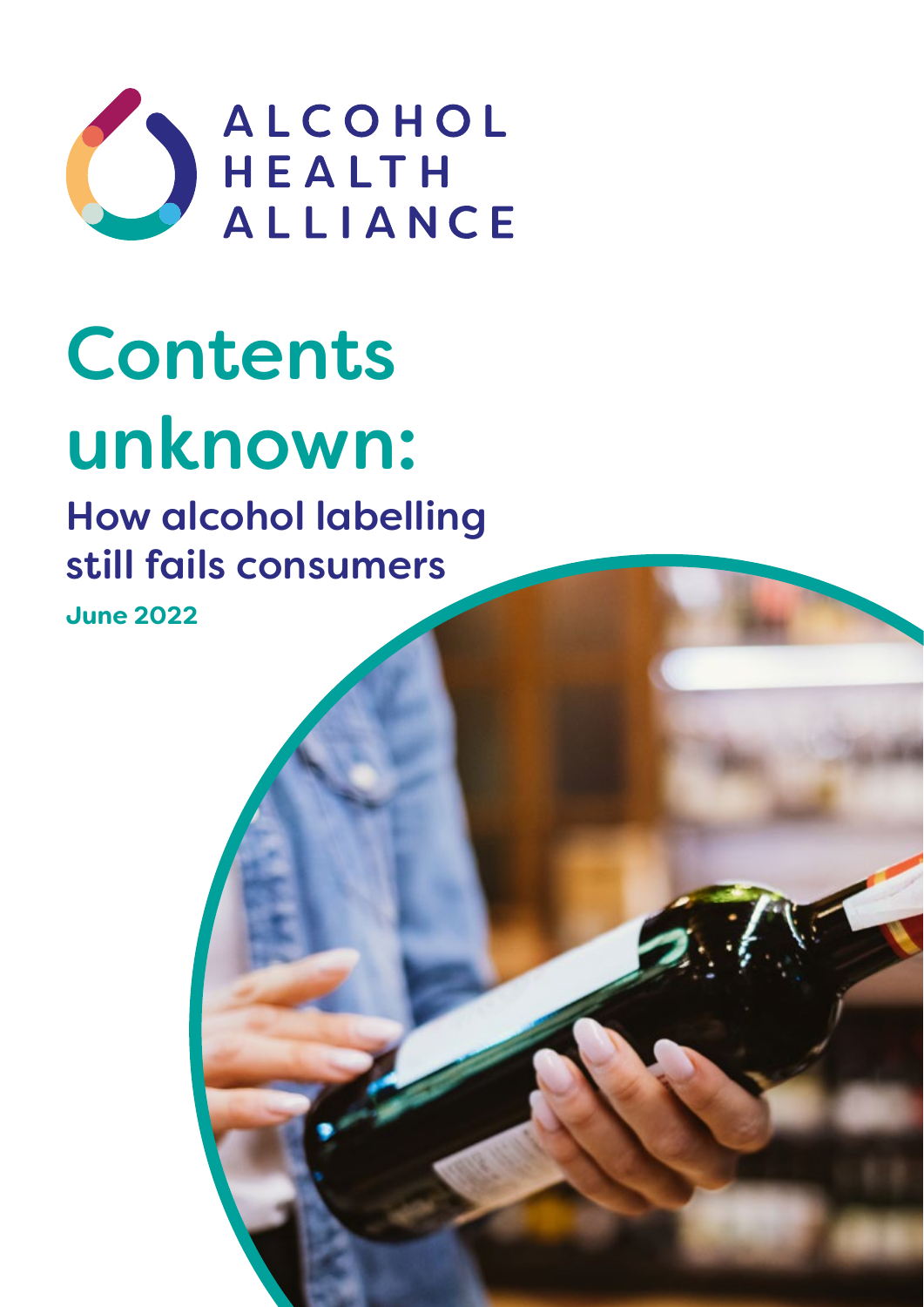

# Contents unknown:

# How alcohol labelling still fails consumers

**June 2022**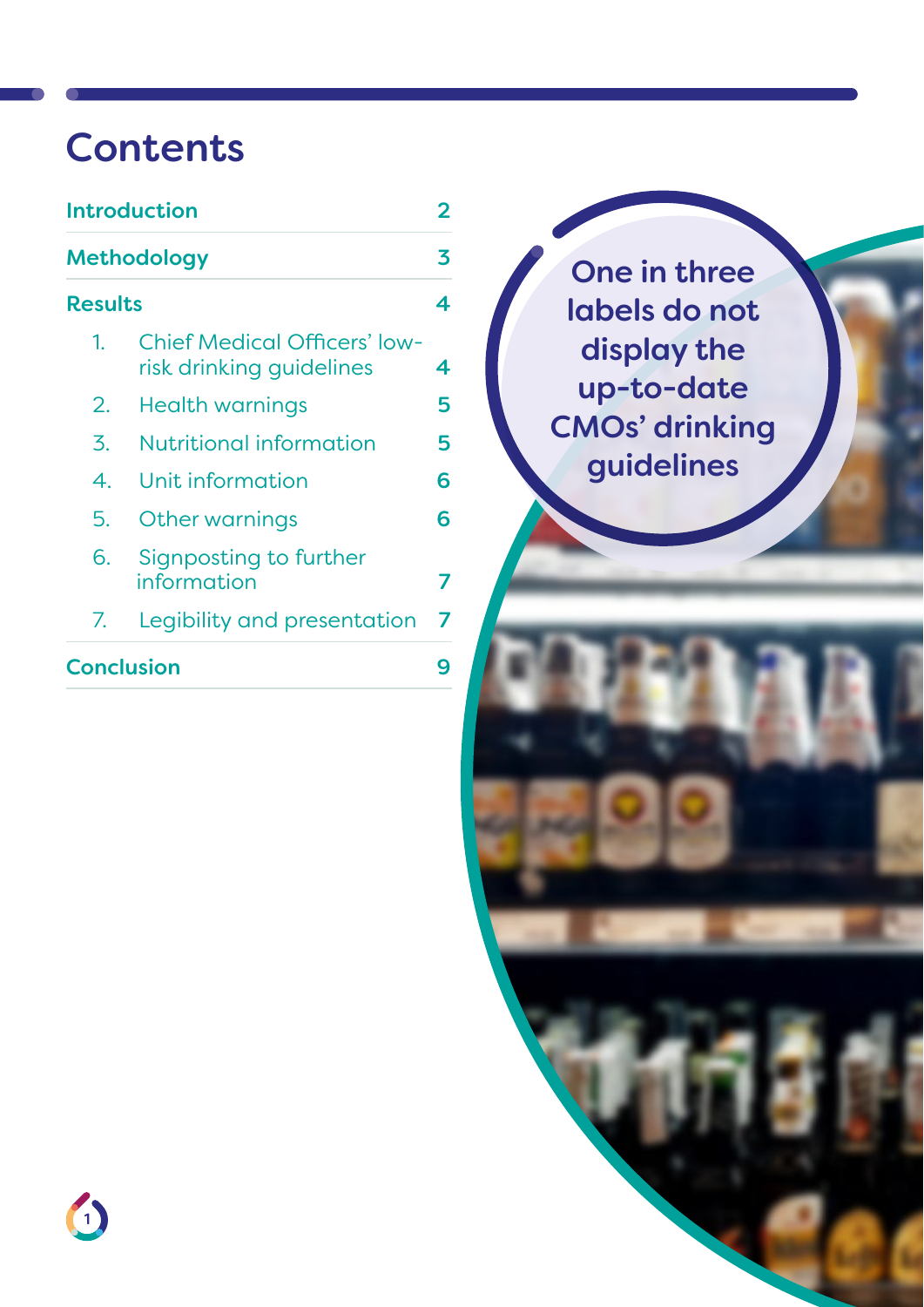### Contents

| Methodology                                                           |   |  |
|-----------------------------------------------------------------------|---|--|
| <b>Results</b>                                                        | 4 |  |
| <b>Chief Medical Officers' low-</b><br>1.<br>risk drinking guidelines | 4 |  |
| 2.<br>Health warnings                                                 | 5 |  |
| Nutritional information<br>3.                                         | 5 |  |
| Unit information<br>4.                                                | 6 |  |
| 5.<br>Other warnings                                                  | 6 |  |
| 6.<br>Signposting to further<br>information                           | 7 |  |
| Legibility and presentation<br>7.                                     | 7 |  |
| <b>Conclusion</b>                                                     |   |  |

One in three labels do not display the up-to-date CMOs' drinking guidelines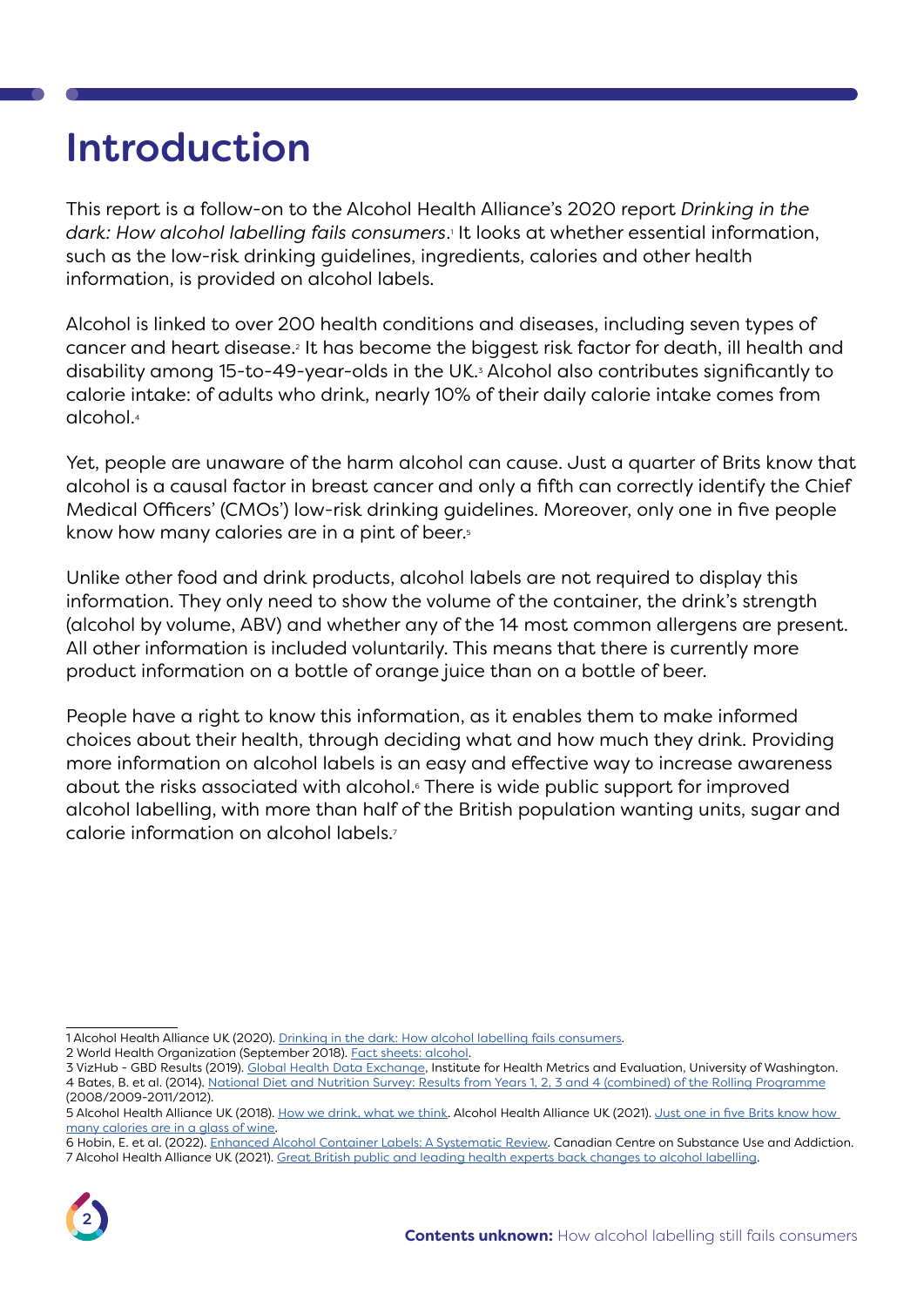### <span id="page-2-0"></span>Introduction

This report is a follow-on to the Alcohol Health Alliance's 2020 report *Drinking in the dark: How alcohol labelling fails consumers*.1 It looks at whether essential information, such as the low-risk drinking guidelines, ingredients, calories and other health information, is provided on alcohol labels.

Alcohol is linked to over 200 health conditions and diseases, including seven types of cancer and heart disease.2 It has become the biggest risk factor for death, ill health and disability among 15-to-49-year-olds in the UK.3 Alcohol also contributes significantly to calorie intake: of adults who drink, nearly 10% of their daily calorie intake comes from alcohol.4

Yet, people are unaware of the harm alcohol can cause. Just a quarter of Brits know that alcohol is a causal factor in breast cancer and only a fifth can correctly identify the Chief Medical Officers' (CMOs') low-risk drinking guidelines. Moreover, only one in five people know how many calories are in a pint of beer.<sup>5</sup>

Unlike other food and drink products, alcohol labels are not required to display this information. They only need to show the volume of the container, the drink's strength (alcohol by volume, ABV) and whether any of the 14 most common allergens are present. All other information is included voluntarily. This means that there is currently more product information on a bottle of orange juice than on a bottle of beer.

People have a right to know this information, as it enables them to make informed choices about their health, through deciding what and how much they drink. Providing more information on alcohol labels is an easy and effective way to increase awareness about the risks associated with alcohol.6 There is wide public support for improved alcohol labelling, with more than half of the British population wanting units, sugar and calorie information on alcohol labels.7

<sup>6</sup> Hobin, E. et al. (2022). [Enhanced Alcohol Container Labels: A Systematic Review.](https://www.ccsa.ca/sites/default/files/2022-02/CCSA-Enhanced-Alcohol-Container-Labels-Systematic-Review-Report-en.pdf) Canadian Centre on Substance Use and Addiction. 7 Alcohol Health Alliance UK (2021). [Great British public and leading health experts back changes to alcohol labelling.](https://ahauk.org/news/great-british-public-and-leading-health-experts-back-changes-to-alcohol-labelling/)



<sup>1</sup> Alcohol Health Alliance UK (2020). [Drinking in the dark: How alcohol labelling fails consumers.](https://ahauk.org/wp-content/uploads/2020/08/DRINKING-IN-THE-DARK.pdf)

<sup>2</sup> World Health Organization (September 2018). [Fact sheets: alcohol.](https://www.who.int/news-room/fact-sheets/detail/alcohol)

<sup>3</sup> VizHub - GBD Results (2019). [Global Health Data Exchange,](https://vizhub.healthdata.org/gbd-results/) Institute for Health Metrics and Evaluation, University of Washington. 4 Bates, B. et al. (2014). [National Diet and Nutrition Survey: Results from Years 1, 2, 3 and 4 \(combined\) of the Rolling Programme](https://assets.publishing.service.gov.uk/government/uploads/system/uploads/attachment_data/file/594361/NDNS_Y1_to_4_UK_report_full_text_revised_February_2017.pdf) (2008/2009-2011/2012).

<sup>5</sup> Alcohol Health Alliance UK (2018). [How we drink, what we think.](http://ahauk.org/what-we-think-2018/) Alcohol Health Alliance UK (2021). Just one in five Brits know how [many calories are in a glass of wine](https://ahauk.org/news/just-one-in-five-brits-know-how-many-calories-are-in-a-glass-of-wine/).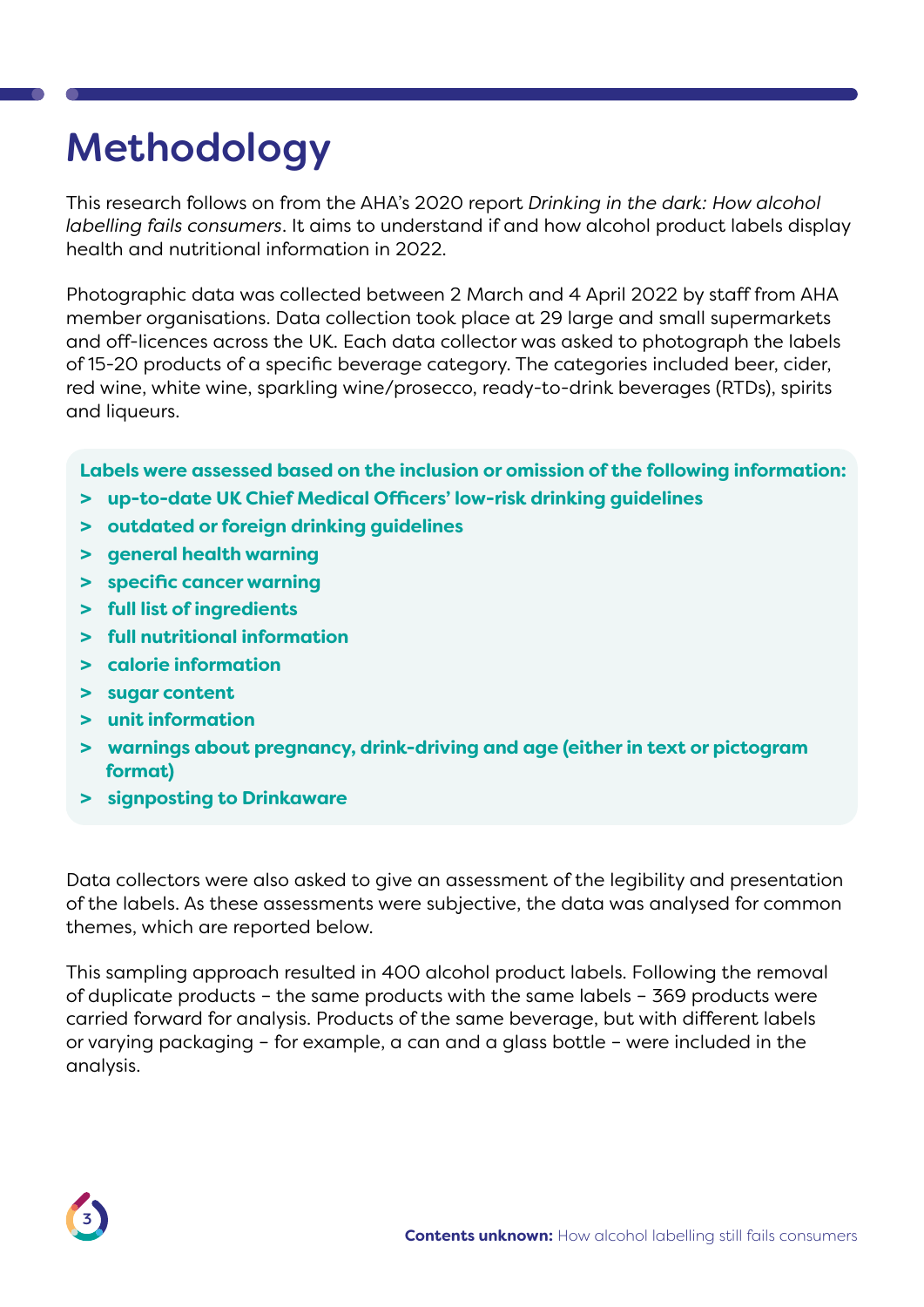# <span id="page-3-0"></span>Methodology

This research follows on from the AHA's 2020 report *Drinking in the dark: How alcohol labelling fails consumers*. It aims to understand if and how alcohol product labels display health and nutritional information in 2022.

Photographic data was collected between 2 March and 4 April 2022 by staff from AHA member organisations. Data collection took place at 29 large and small supermarkets and off-licences across the UK. Each data collector was asked to photograph the labels of 15-20 products of a specific beverage category. The categories included beer, cider, red wine, white wine, sparkling wine/prosecco, ready-to-drink beverages (RTDs), spirits and liqueurs.

**Labels were assessed based on the inclusion or omission of the following information:** 

- **> up-to-date UK Chief Medical Officers' low-risk drinking guidelines**
- **> outdated or foreign drinking guidelines**
- **> general health warning**
- **> specific cancer warning**
- **> full list of ingredients**
- **> full nutritional information**
- **> calorie information**
- **> sugar content**
- **> unit information**
- **> warnings about pregnancy, drink-driving and age (either in text or pictogram format)**
- **> signposting to Drinkaware**

Data collectors were also asked to give an assessment of the legibility and presentation of the labels. As these assessments were subjective, the data was analysed for common themes, which are reported below.

This sampling approach resulted in 400 alcohol product labels. Following the removal of duplicate products – the same products with the same labels – 369 products were carried forward for analysis. Products of the same beverage, but with different labels or varying packaging – for example, a can and a glass bottle – were included in the analysis.

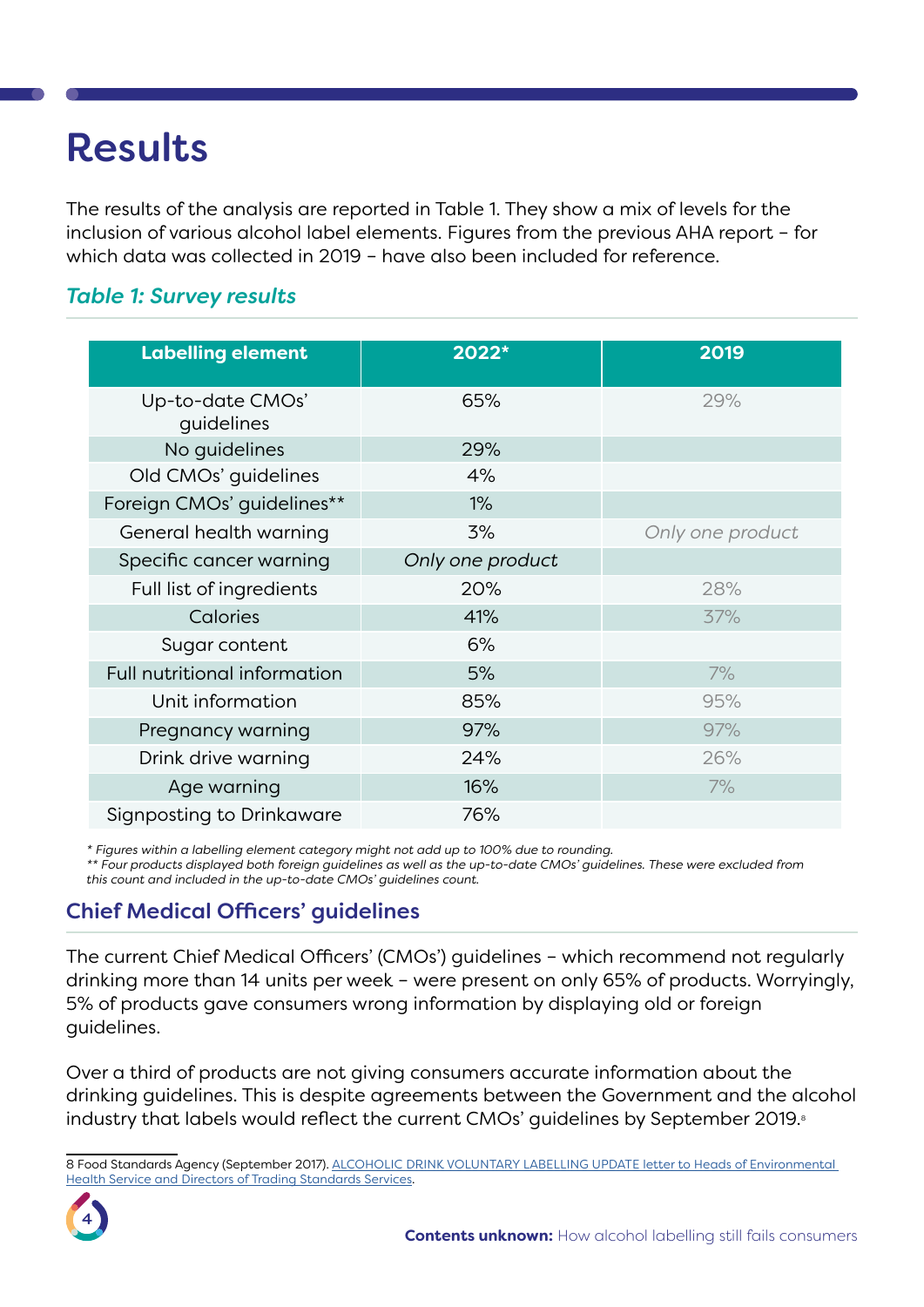### <span id="page-4-0"></span>Results

The results of the analysis are reported in Table 1. They show a mix of levels for the inclusion of various alcohol label elements. Figures from the previous AHA report – for which data was collected in 2019 – have also been included for reference.

#### *Table 1: Survey results*

| <b>Labelling element</b>       | 2022*            | 2019             |
|--------------------------------|------------------|------------------|
| Up-to-date CMOs'<br>quidelines | 65%              | 29%              |
| No quidelines                  | 29%              |                  |
| Old CMOs' guidelines           | 4%               |                  |
| Foreign CMOs' guidelines**     | $1\%$            |                  |
| General health warning         | 3%               | Only one product |
| Specific cancer warning        | Only one product |                  |
| Full list of ingredients       | 20%              | 28%              |
| Calories                       | 41%              | 37%              |
| Sugar content                  | 6%               |                  |
| Full nutritional information   | 5%               | 7%               |
| Unit information               | 85%              | 95%              |
| Pregnancy warning              | 97%              | 97%              |
| Drink drive warning            | 24%              | 26%              |
| Age warning                    | 16%              | 7%               |
| Signposting to Drinkaware      | 76%              |                  |

*\* Figures within a labelling element category might not add up to 100% due to rounding.* 

*\*\* Four products displayed both foreign guidelines as well as the up-to-date CMOs' guidelines. These were excluded from this count and included in the up-to-date CMOs' guidelines count.* 

#### Chief Medical Officers' guidelines

The current Chief Medical Officers' (CMOs') guidelines – which recommend not regularly drinking more than 14 units per week – were present on only 65% of products. Worryingly, 5% of products gave consumers wrong information by displaying old or foreign guidelines.

Over a third of products are not giving consumers accurate information about the drinking guidelines. This is despite agreements between the Government and the alcohol industry that labels would reflect the current CMOs' quidelines by September 2019.<sup>8</sup>

<sup>8</sup> Food Standards Agency (September 2017). ALCOHOLIC DRINK VOLUNTARY LABELLING UPDATE letter to Heads of Environmental [Health Service and Directors of Trading Standards Services.](https://webarchive.nationalarchives.gov.uk/ukgwa/20171207200436/https:/www.food.gov.uk/sites/default/files/enf-e-17-055.pdf)

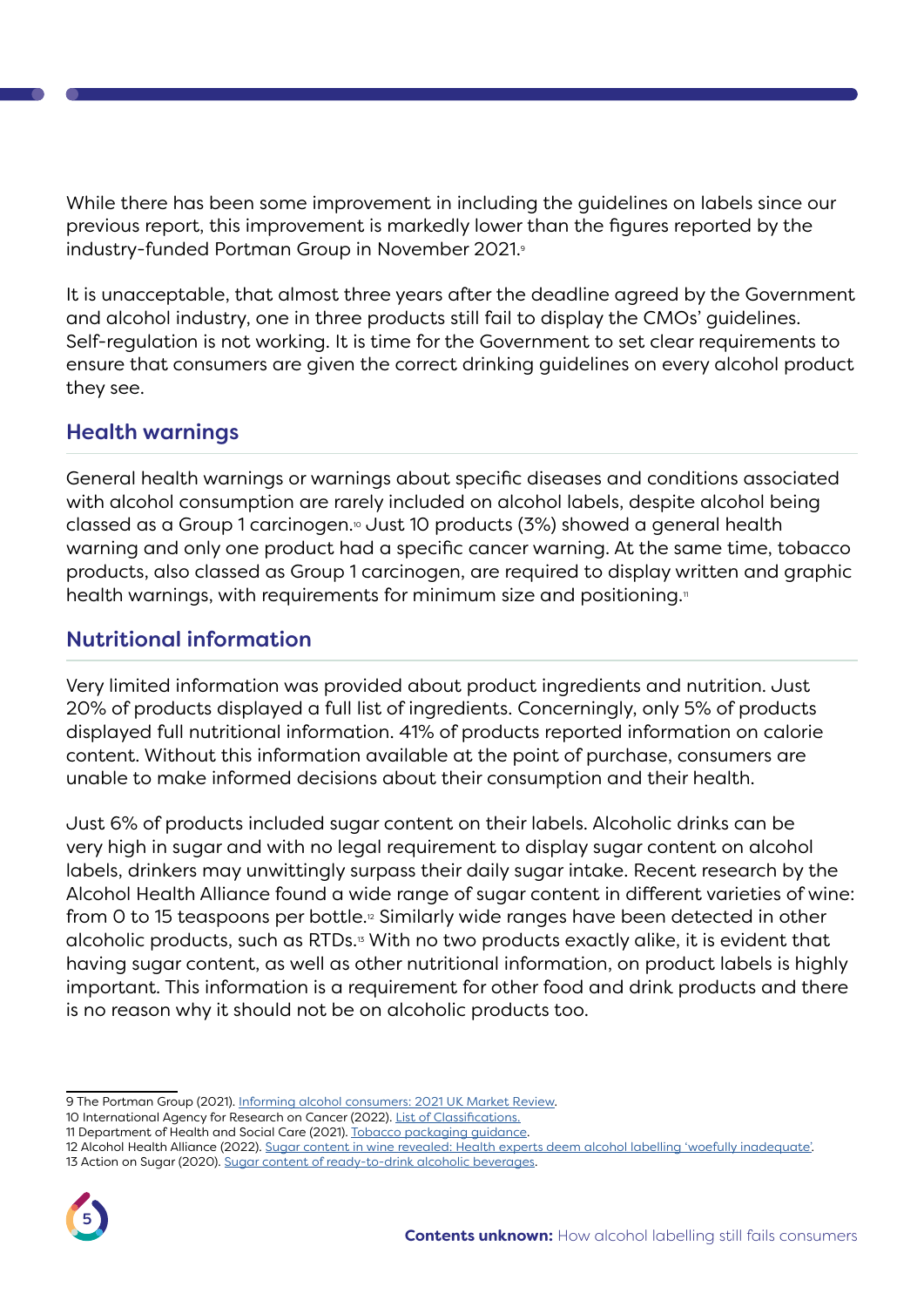While there has been some improvement in including the guidelines on labels since our previous report, this improvement is markedly lower than the figures reported by the industry-funded Portman Group in November 2021.9

It is unacceptable, that almost three years after the deadline agreed by the Government and alcohol industry, one in three products still fail to display the CMOs' guidelines. Self-regulation is not working. It is time for the Government to set clear requirements to ensure that consumers are given the correct drinking guidelines on every alcohol product they see.

#### <span id="page-5-0"></span>Health warnings

General health warnings or warnings about specific diseases and conditions associated with alcohol consumption are rarely included on alcohol labels, despite alcohol being classed as a Group 1 carcinogen.<sup>®</sup> Just 10 products ( $3\%$ ) showed a general health warning and only one product had a specific cancer warning. At the same time, tobacco products, also classed as Group 1 carcinogen, are required to display written and graphic health warnings, with requirements for minimum size and positioning.<sup>11</sup>

#### <span id="page-5-1"></span>Nutritional information

Very limited information was provided about product ingredients and nutrition. Just 20% of products displayed a full list of ingredients. Concerningly, only 5% of products displayed full nutritional information. 41% of products reported information on calorie content. Without this information available at the point of purchase, consumers are unable to make informed decisions about their consumption and their health.

Just 6% of products included sugar content on their labels. Alcoholic drinks can be very high in sugar and with no legal requirement to display sugar content on alcohol labels, drinkers may unwittingly surpass their daily sugar intake. Recent research by the Alcohol Health Alliance found a wide range of sugar content in different varieties of wine: from 0 to 15 teaspoons per bottle.<sup>12</sup> Similarly wide ranges have been detected in other alcoholic products, such as RTDs.13 With no two products exactly alike, it is evident that having sugar content, as well as other nutritional information, on product labels is highly important. This information is a requirement for other food and drink products and there is no reason why it should not be on alcoholic products too.

<sup>13</sup> Action on Sugar (2020). [Sugar content of ready-to-drink alcoholic beverages.](https://www.actiononsugar.org/media/actiononsugar/Alcohol-Survey-Report.pdf)



<sup>9</sup> The Portman Group (2021). [Informing alcohol consumers: 2021 UK Market Review](https://1kp8gk3a0fdl3qf9kb2wo9ei-wpengine.netdna-ssl.com/wp-content/uploads/2022/02/Market-Review-2021.pdf).

<sup>10</sup> International Agency for Research on Cancer (2022). [List of Classifications.](https://monographs.iarc.who.int/list-of-classifications/)

<sup>11</sup> Department of Health and Social Care (2021). [Tobacco packaging guidance.](https://assets.publishing.service.gov.uk/government/uploads/system/uploads/attachment_data/file/978513/tobacco-packaging-guidance-great-britain-april-2021.pdf)

<sup>12</sup> Alcohol Health Alliance (2022). [Sugar content in wine revealed: Health experts deem alcohol labelling 'woefully inadequate'.](https://ahauk.org/news/sugar-content-in-wine-revealed-health-experts-deem-alcohol-labelling-woefully-inadequate/)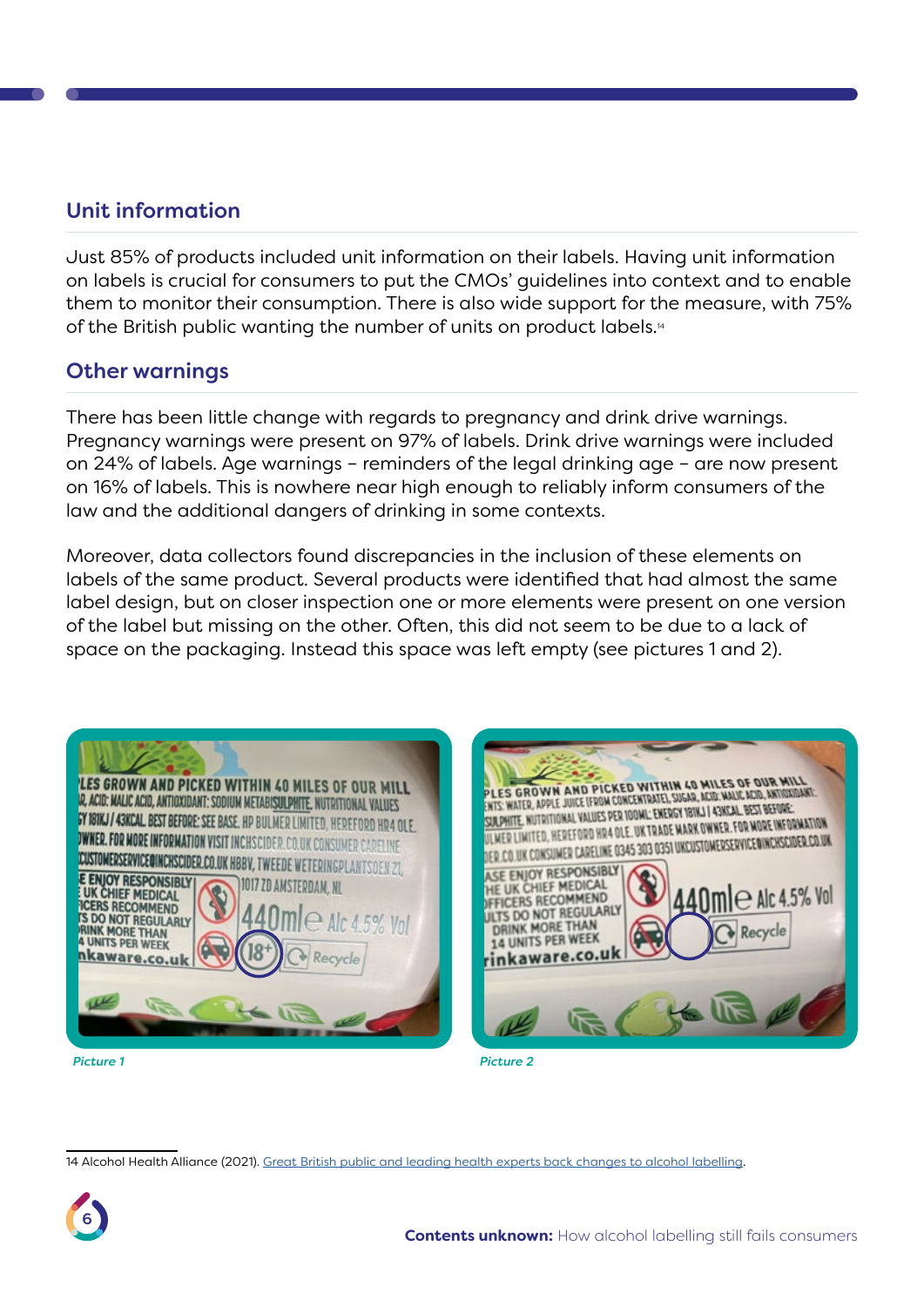#### <span id="page-6-0"></span>Unit information

Just 85% of products included unit information on their labels. Having unit information on labels is crucial for consumers to put the CMOs' guidelines into context and to enable them to monitor their consumption. There is also wide support for the measure, with 75% of the British public wanting the number of units on product labels.14

#### <span id="page-6-1"></span>Other warnings

There has been little change with regards to pregnancy and drink drive warnings. Pregnancy warnings were present on 97% of labels. Drink drive warnings were included on 24% of labels. Age warnings – reminders of the legal drinking age – are now present on 16% of labels. This is nowhere near high enough to reliably inform consumers of the law and the additional dangers of drinking in some contexts.

Moreover, data collectors found discrepancies in the inclusion of these elements on labels of the same product. Several products were identified that had almost the same label design, but on closer inspection one or more elements were present on one version of the label but missing on the other. Often, this did not seem to be due to a lack of space on the packaging. Instead this space was left empty (see pictures 1 and 2).



LES GROWN AND PICKED WITHIN 40 MILES OF OUR MILL PLES GROWN AND PICKED WITHIN 40 MILES OF OUR ARTISTICS.<br>NIS WATER, APPLE JUICE (FROM CONCENTRATE), SUGAR, NATIONAL AND ARTISTICS OF THE COLOR ARTIST OF THE COLOR ART<br>NIS WATER, APPLE JUICE (FROM COLORAL), EMERGY 1918 IL AN ENTS: WATER, APPLE JUICE LEROM CONCENTRATEL, SUGAR, BLUG, WALL, AND ANNO.<br>SUILPHITE, NUTRITIONAL VALUES PER 100ML: ENERGY 181KJ | 43KSAL, BEST BEFORE.<br>SUILPHITE, NUTRITIONAL VALUES PER 100ML: ENERGY NUNER, FOR MORE INFO NER LINITED, HEREFORD HR4 OLE. UK TRADE MARK OWNER, FOR MORE INFORMATION.<br>Her linited, hereford hr4 OLE. UK TRADE MARK OWNER, FOR MORE INFORMATION. LER LIMITED, HEREFORD HR4 OLE. UK TRADE MAKK UNINEK.FOR HOLE HIL OGENEDEN.<br>LCD.UK CONSUMER CARELINE 0345 303 0351 UKCUSTOMERSERVICENINCHSCIDER.CO.UK ASE ENJOY RESPONSIBLY HE UK CHIEF MEDICAL **PE UNES RECOMMEND** ULTS DO NOT REGULARLY **DRINK MORE THAN** 14 UNITS PER WEEK inkaware.co.u

*Picture 1 Picture 2*

14 Alcohol Health Alliance (2021). [Great British public and leading health experts back changes to alcohol labelling.](https://ahauk.org/news/great-british-public-and-leading-health-experts-back-changes-to-alcohol-labelling/)

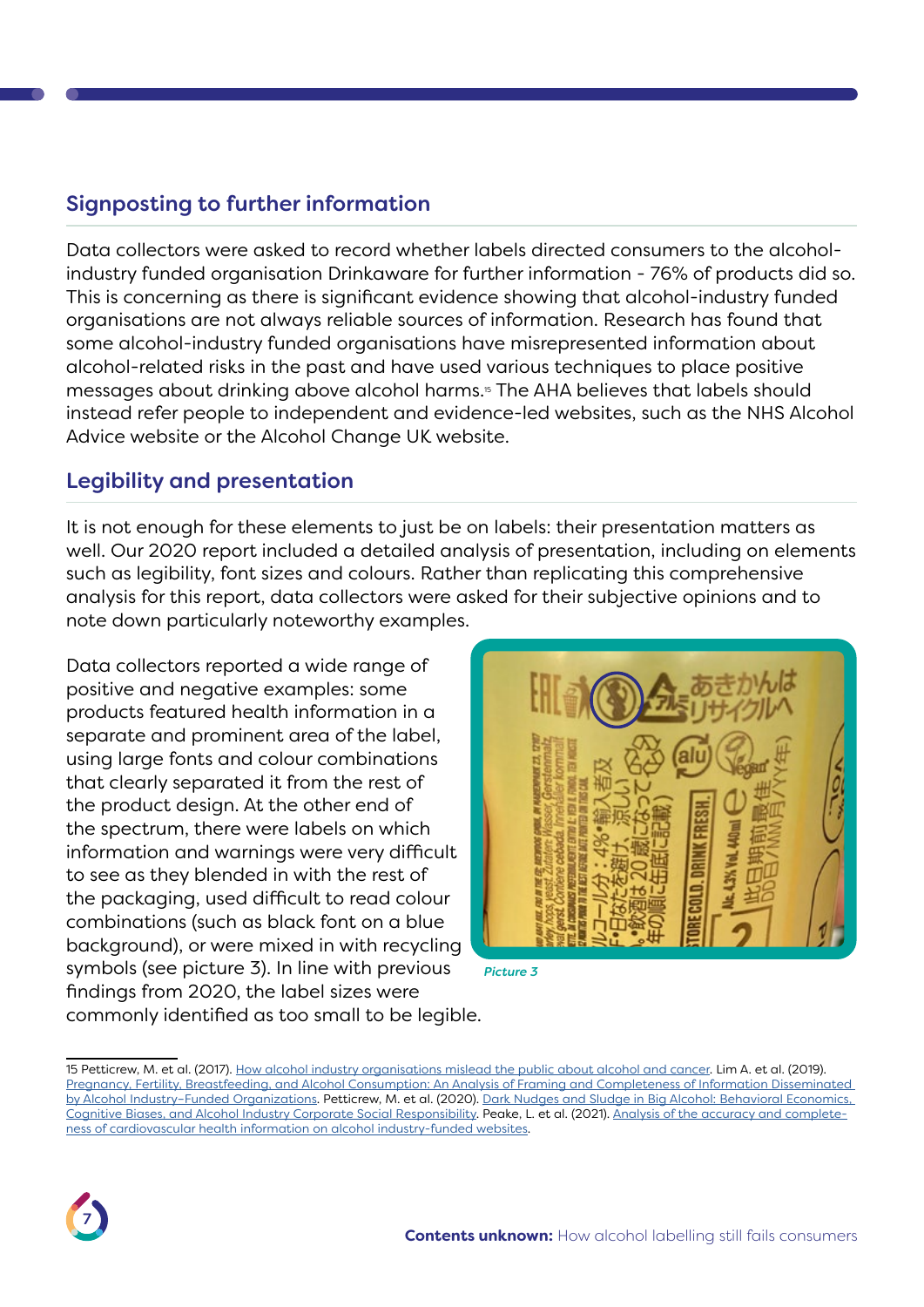#### <span id="page-7-0"></span>Signposting to further information

Data collectors were asked to record whether labels directed consumers to the alcoholindustry funded organisation Drinkaware for further information - 76% of products did so. This is concerning as there is significant evidence showing that alcohol-industry funded organisations are not always reliable sources of information. Research has found that some alcohol-industry funded organisations have misrepresented information about alcohol-related risks in the past and have used various techniques to place positive messages about drinking above alcohol harms.<sup>5</sup> The AHA believes that labels should instead refer people to independent and evidence-led websites, such as the NHS Alcohol Advice website or the Alcohol Change UK website.

#### <span id="page-7-1"></span>Legibility and presentation

It is not enough for these elements to just be on labels: their presentation matters as well. Our 2020 report included a detailed analysis of presentation, including on elements such as legibility, font sizes and colours. Rather than replicating this comprehensive analysis for this report, data collectors were asked for their subjective opinions and to note down particularly noteworthy examples.

Data collectors reported a wide range of positive and negative examples: some products featured health information in a separate and prominent area of the label, using large fonts and colour combinations that clearly separated it from the rest of the product design. At the other end of the spectrum, there were labels on which information and warnings were very difficult to see as they blended in with the rest of the packaging, used difficult to read colour combinations (such as black font on a blue background), or were mixed in with recycling symbols (see picture 3). In line with previous findings from 2020, the label sizes were commonly identified as too small to be legible.



*Picture 3*

<sup>15</sup> Petticrew, M. et al. (2017). [How alcohol industry organisations mislead the public about alcohol and cancer](https://onlinelibrary.wiley.com/doi/10.1111/dar.12596). Lim A. et al. (2019). [Pregnancy, Fertility, Breastfeeding, and Alcohol Consumption: An Analysis of Framing and Completeness of Information Disseminated](Pregnancy, Fertility, Breastfeeding, and Alcohol Consumption: An Analysis of Framing and Completeness of Information Disseminated by Alcohol Industry–Funded Organizations)  [by Alcohol Industry–Funded Organizations](Pregnancy, Fertility, Breastfeeding, and Alcohol Consumption: An Analysis of Framing and Completeness of Information Disseminated by Alcohol Industry–Funded Organizations). Petticrew, M. et al. (2020). [Dark Nudges and Sludge in Big Alcohol: Behavioral Economics,](https://onlinelibrary.wiley.com/doi/full/10.1111/1468-0009.12475)  [Cognitive Biases, and Alcohol Industry Corporate Social Responsibility.](https://onlinelibrary.wiley.com/doi/full/10.1111/1468-0009.12475) Peake, L. et al. (2021). [Analysis of the accuracy and complete](https://pubmed.ncbi.nlm.nih.gov/34480167/)[ness of cardiovascular health information on alcohol industry-funded websites](https://pubmed.ncbi.nlm.nih.gov/34480167/).

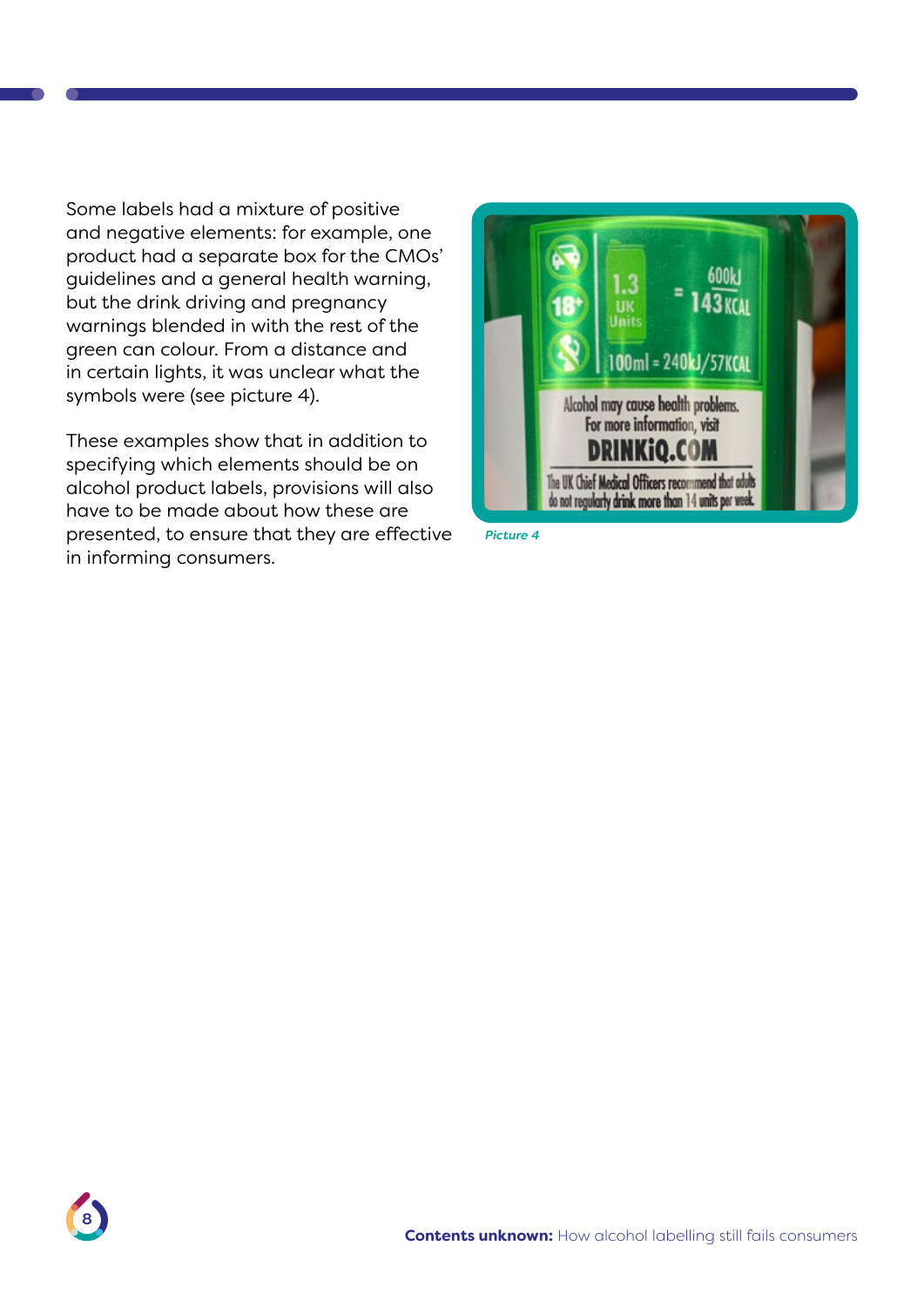Some labels had a mixture of positive and negative elements: for example, one product had a separate box for the CMOs' guidelines and a general health warning, but the drink driving and pregnancy warnings blended in with the rest of the green can colour. From a distance and in certain lights, it was unclear what the symbols were (see picture 4).

These examples show that in addition to specifying which elements should be on alcohol product labels, provisions will also have to be made about how these are presented, to ensure that they are effective in informing consumers.



*Picture 4*

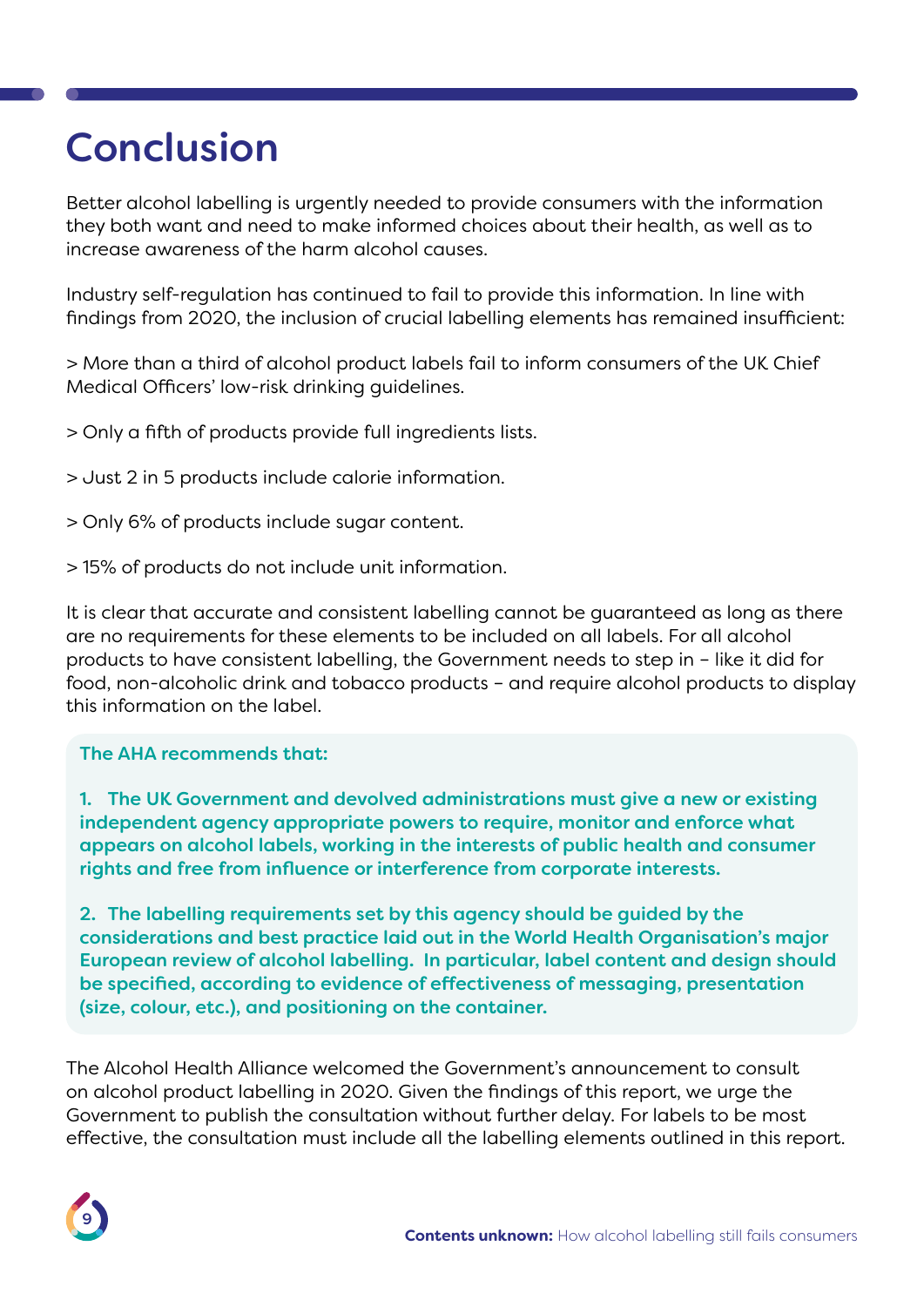# <span id="page-9-0"></span>Conclusion

Better alcohol labelling is urgently needed to provide consumers with the information they both want and need to make informed choices about their health, as well as to increase awareness of the harm alcohol causes.

Industry self-regulation has continued to fail to provide this information. In line with findings from 2020, the inclusion of crucial labelling elements has remained insufficient:

> More than a third of alcohol product labels fail to inform consumers of the UK Chief Medical Officers' low-risk drinking guidelines.

> Only a fifth of products provide full ingredients lists.

> Just 2 in 5 products include calorie information.

- > Only 6% of products include sugar content.
- > 15% of products do not include unit information.

It is clear that accurate and consistent labelling cannot be guaranteed as long as there are no requirements for these elements to be included on all labels. For all alcohol products to have consistent labelling, the Government needs to step in – like it did for food, non-alcoholic drink and tobacco products – and require alcohol products to display this information on the label.

#### The AHA recommends that:

1. The UK Government and devolved administrations must give a new or existing independent agency appropriate powers to require, monitor and enforce what appears on alcohol labels, working in the interests of public health and consumer rights and free from influence or interference from corporate interests.

2. The labelling requirements set by this agency should be guided by the considerations and best practice laid out in the World Health Organisation's major European review of alcohol labelling. In particular, label content and design should be specified, according to evidence of effectiveness of messaging, presentation (size, colour, etc.), and positioning on the container.

The Alcohol Health Alliance welcomed the Government's announcement to consult on alcohol product labelling in 2020. Given the findings of this report, we urge the Government to publish the consultation without further delay. For labels to be most effective, the consultation must include all the labelling elements outlined in this report.